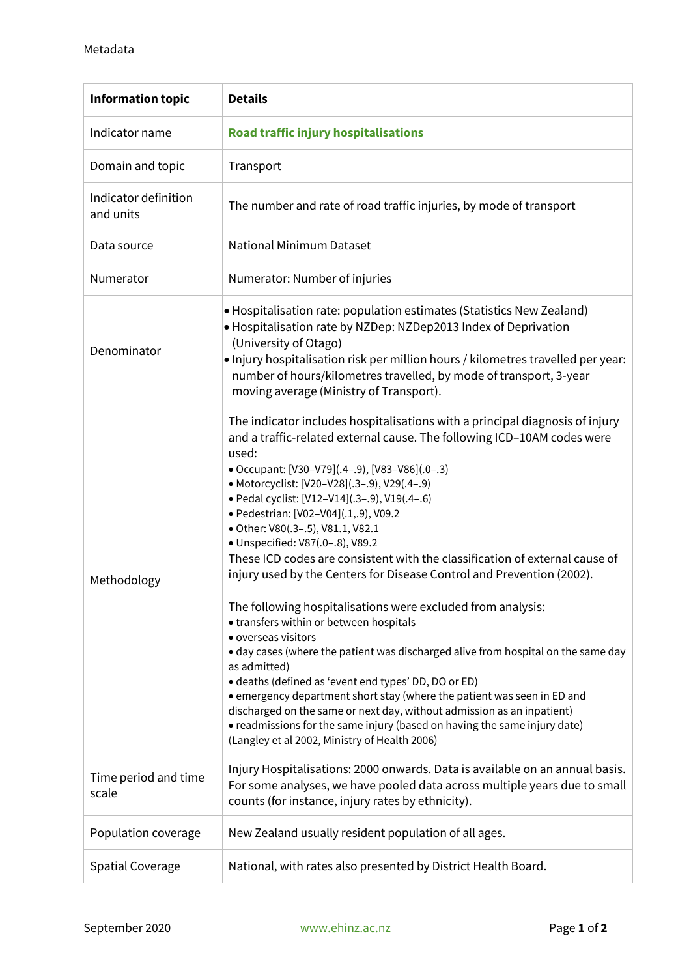| <b>Information topic</b>          | <b>Details</b>                                                                                                                                                                                                                                                                                                                                                                                                                                                                                                                                                                                                                                                                                                                                                                                                                                                                                                                                                                                                                                                                                                                                                                 |
|-----------------------------------|--------------------------------------------------------------------------------------------------------------------------------------------------------------------------------------------------------------------------------------------------------------------------------------------------------------------------------------------------------------------------------------------------------------------------------------------------------------------------------------------------------------------------------------------------------------------------------------------------------------------------------------------------------------------------------------------------------------------------------------------------------------------------------------------------------------------------------------------------------------------------------------------------------------------------------------------------------------------------------------------------------------------------------------------------------------------------------------------------------------------------------------------------------------------------------|
| Indicator name                    | <b>Road traffic injury hospitalisations</b>                                                                                                                                                                                                                                                                                                                                                                                                                                                                                                                                                                                                                                                                                                                                                                                                                                                                                                                                                                                                                                                                                                                                    |
| Domain and topic                  | Transport                                                                                                                                                                                                                                                                                                                                                                                                                                                                                                                                                                                                                                                                                                                                                                                                                                                                                                                                                                                                                                                                                                                                                                      |
| Indicator definition<br>and units | The number and rate of road traffic injuries, by mode of transport                                                                                                                                                                                                                                                                                                                                                                                                                                                                                                                                                                                                                                                                                                                                                                                                                                                                                                                                                                                                                                                                                                             |
| Data source                       | <b>National Minimum Dataset</b>                                                                                                                                                                                                                                                                                                                                                                                                                                                                                                                                                                                                                                                                                                                                                                                                                                                                                                                                                                                                                                                                                                                                                |
| Numerator                         | Numerator: Number of injuries                                                                                                                                                                                                                                                                                                                                                                                                                                                                                                                                                                                                                                                                                                                                                                                                                                                                                                                                                                                                                                                                                                                                                  |
| Denominator                       | • Hospitalisation rate: population estimates (Statistics New Zealand)<br>• Hospitalisation rate by NZDep: NZDep2013 Index of Deprivation<br>(University of Otago)<br>. Injury hospitalisation risk per million hours / kilometres travelled per year:<br>number of hours/kilometres travelled, by mode of transport, 3-year<br>moving average (Ministry of Transport).                                                                                                                                                                                                                                                                                                                                                                                                                                                                                                                                                                                                                                                                                                                                                                                                         |
| Methodology                       | The indicator includes hospitalisations with a principal diagnosis of injury<br>and a traffic-related external cause. The following ICD-10AM codes were<br>used:<br>• Occupant: [V30-V79](.4-.9), [V83-V86](.0-.3)<br>• Motorcyclist: [V20-V28](.3-.9), V29(.4-.9)<br>· Pedal cyclist: [V12-V14](.3-.9), V19(.4-.6)<br>· Pedestrian: [V02-V04](.1,.9), V09.2<br>· Other: V80(.3-.5), V81.1, V82.1<br>· Unspecified: V87(.0-.8), V89.2<br>These ICD codes are consistent with the classification of external cause of<br>injury used by the Centers for Disease Control and Prevention (2002).<br>The following hospitalisations were excluded from analysis:<br>• transfers within or between hospitals<br>• overseas visitors<br>• day cases (where the patient was discharged alive from hospital on the same day<br>as admitted)<br>· deaths (defined as 'event end types' DD, DO or ED)<br>• emergency department short stay (where the patient was seen in ED and<br>discharged on the same or next day, without admission as an inpatient)<br>• readmissions for the same injury (based on having the same injury date)<br>(Langley et al 2002, Ministry of Health 2006) |
| Time period and time<br>scale     | Injury Hospitalisations: 2000 onwards. Data is available on an annual basis.<br>For some analyses, we have pooled data across multiple years due to small<br>counts (for instance, injury rates by ethnicity).                                                                                                                                                                                                                                                                                                                                                                                                                                                                                                                                                                                                                                                                                                                                                                                                                                                                                                                                                                 |
| Population coverage               | New Zealand usually resident population of all ages.                                                                                                                                                                                                                                                                                                                                                                                                                                                                                                                                                                                                                                                                                                                                                                                                                                                                                                                                                                                                                                                                                                                           |
| <b>Spatial Coverage</b>           | National, with rates also presented by District Health Board.                                                                                                                                                                                                                                                                                                                                                                                                                                                                                                                                                                                                                                                                                                                                                                                                                                                                                                                                                                                                                                                                                                                  |